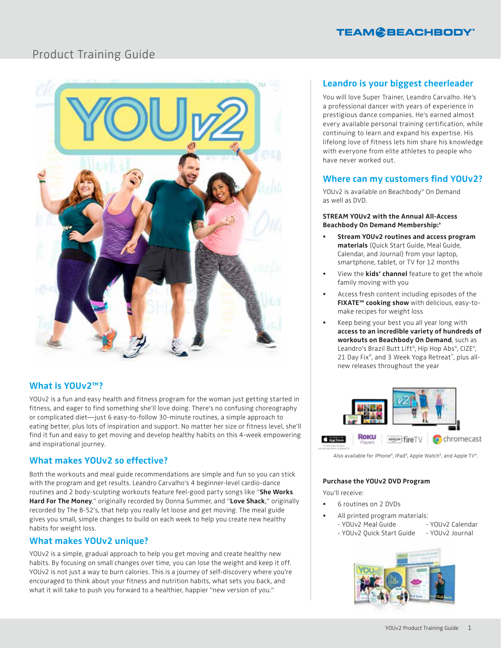

# Product Training Guide



## **What is YOUv2™?**

YOUv2 is a fun and easy health and fitness program for the woman just getting started in fitness, and eager to find something she'll love doing. There's no confusing choreography or complicated diet—just 6 easy-to-follow 30-minute routines, a simple approach to eating better, plus lots of inspiration and support. No matter her size or fitness level, she'll find it fun and easy to get moving and develop healthy habits on this 4-week empowering and inspirational journey.

### **What makes YOUv2 so effective?**

Both the workouts and meal guide recommendations are simple and fun so you can stick with the program and get results. Leandro Carvalho's 4 beginner-level cardio-dance routines and 2 body-sculpting workouts feature feel-good party songs like "**She Works Hard For The Money**," originally recorded by Donna Summer, and "**Love Shack**," originally recorded by The B-52's, that help you really let loose and get moving. The meal guide gives you small, simple changes to build on each week to help you create new healthy habits for weight loss.

### **What makes YOUv2 unique?**

YOUv2 is a simple, gradual approach to help you get moving and create healthy new habits. By focusing on small changes over time, you can lose the weight and keep it off. YOUv2 is not just a way to burn calories. This is a journey of self-discovery where you're encouraged to think about your fitness and nutrition habits, what sets you back, and what it will take to push you forward to a healthier, happier "new version of you."

# **Leandro is your biggest cheerleader**

You will love Super Trainer, Leandro Carvalho. He's a professional dancer with years of experience in prestigious dance companies. He's earned almost every available personal training certification, while continuing to learn and expand his expertise. His lifelong love of fitness lets him share his knowledge with everyone from elite athletes to people who have never worked out.

#### **Where can my customers find YOUv2?**

YOUv2 is available on Beachbody® On Demand as well as DVD.

#### **STREAM YOUv2 with the Annual All-Access Beachbody On Demand Membership:†**

- **• Stream YOUv2 routines and access program materials** (Quick Start Guide, Meal Guide, Calendar, and Journal) from your laptop, smartphone, tablet, or TV for 12 months
- View the **kids' channel** feature to get the whole family moving with you
- Access fresh content including episodes of the **FIXATE™ cooking show** with delicious, easy-tomake recipes for weight loss
- Keep being your best you all year long with **access to an incredible variety of hundreds of workouts on Beachbody On Demand**, such as Leandro's Brazil Butt Lift®, Hip Hop Abs®, CIZE®, 21 Day Fix®, and 3 Week Yoga Retreat™, plus allnew releases throughout the year



Also available for iPhone®, iPad®, Apple Watch®, and Apple TV®.

#### **Purchase the YOUv2 DVD Program**

You'll receive:

- 6 routines on 2 DVDs
- All printed program materials: - YOUv2 Meal Guide - YOUv2 Calendar
	- YOUv2 Quick Start Guide YOUv2 Journal

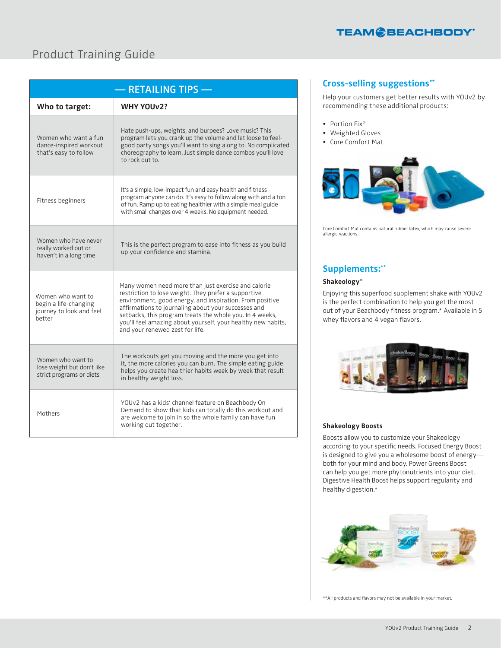

# Product Training Guide

| - RETAILING TIPS-                                                                |                                                                                                                                                                                                                                                                                                                                                                                               |
|----------------------------------------------------------------------------------|-----------------------------------------------------------------------------------------------------------------------------------------------------------------------------------------------------------------------------------------------------------------------------------------------------------------------------------------------------------------------------------------------|
| Who to target:                                                                   | <b>WHY YOUv2?</b>                                                                                                                                                                                                                                                                                                                                                                             |
| Women who want a fun<br>dance-inspired workout<br>that's easy to follow          | Hate push-ups, weights, and burpees? Love music? This<br>program lets you crank up the volume and let loose to feel-<br>good party songs you'll want to sing along to. No complicated<br>choreography to learn. Just simple dance combos you'll love<br>to rock out to.                                                                                                                       |
| Fitness beginners                                                                | It's a simple, low-impact fun and easy health and fitness<br>program anyone can do. It's easy to follow along with and a ton<br>of fun. Ramp up to eating healthier with a simple meal guide<br>with small changes over 4 weeks. No equipment needed.                                                                                                                                         |
| Women who have never<br>really worked out or<br>haven't in a long time           | This is the perfect program to ease into fitness as you build<br>up your confidence and stamina.                                                                                                                                                                                                                                                                                              |
| Women who want to<br>begin a life-changing<br>journey to look and feel<br>hetter | Many women need more than just exercise and calorie<br>restriction to lose weight. They prefer a supportive<br>environment, good energy, and inspiration. From positive<br>affirmations to journaling about your successes and<br>setbacks, this program treats the whole you. In 4 weeks,<br>you'll feel amazing about yourself, your healthy new habits,<br>and your renewed zest for life. |
| Women who want to<br>lose weight but don't like<br>strict programs or diets      | The workouts get you moving and the more you get into<br>it, the more calories you can burn. The simple eating guide<br>helps you create healthier habits week by week that result<br>in healthy weight loss.                                                                                                                                                                                 |
| Mothers                                                                          | YOUv2 has a kids' channel feature on Beachbody On<br>Demand to show that kids can totally do this workout and<br>are welcome to join in so the whole family can have fun<br>working out together.                                                                                                                                                                                             |

## **Cross-selling suggestions\*\***

Help your customers get better results with YOUv2 by recommending these additional products:

- Portion Fix<sup>®</sup>
- Weighted Gloves
- Core Comfort Mat



Core Comfort Mat contains natural rubber latex, which may cause severe allergic reactions.

## **Supplements:\*\***

#### **Shakeology®**

Enjoying this superfood supplement shake with YOUv2 is the perfect combination to help you get the most out of your Beachbody fitness program.\* Available in 5 whey flavors and 4 vegan flavors.



#### **Shakeology Boosts**

Boosts allow you to customize your Shakeology according to your specific needs. Focused Energy Boost is designed to give you a wholesome boost of energy both for your mind and body. Power Greens Boost can help you get more phytonutrients into your diet. Digestive Health Boost helps support regularity and healthy digestion.\*



\*\*All products and flavors may not be available in your market.